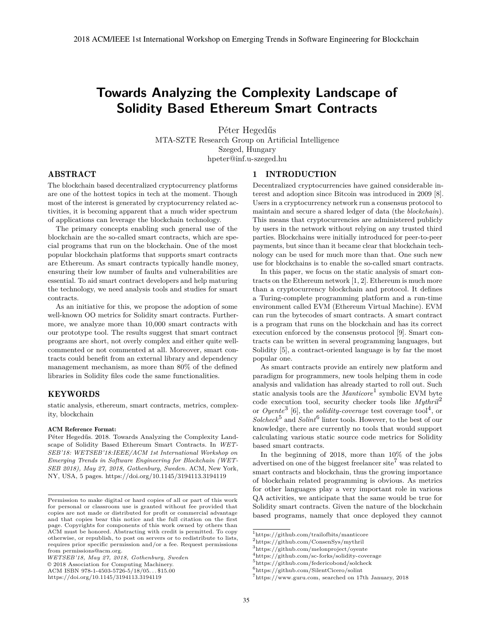# **Towards Analyzing the Complexity Landscape of Solidity Based Ethereum Smart Contracts**

Péter Hegedűs MTA-SZTE Research Group on Artificial Intelligence Szeged, Hungary hpeter@inf.u-szeged.hu

#### 1 INTRODUCTION

## ABSTRACT

The blockchain based decentralized cryptocurrency platforms are one of the hottest topics in tech at the moment. Though most of the interest is generated by cryptocurrency related activities, it is becoming apparent that a much wider spectrum of applications can leverage the blockchain technology.

The primary concepts enabling such general use of the blockchain are the so-called smart contracts, which are special programs that run on the blockchain. One of the most popular blockchain platforms that supports smart contracts are Ethereum. As smart contracts typically handle money, ensuring their low number of faults and vulnerabilities are essential. To aid smart contract developers and help maturing the technology, we need analysis tools and studies for smart contracts.

As an initiative for this, we propose the adoption of some well-known OO metrics for Solidity smart contracts. Furthermore, we analyze more than 10,000 smart contracts with our prototype tool. The results suggest that smart contract programs are short, not overly complex and either quite wellcommented or not commented at all. Moreover, smart contracts could benefit from an external library and dependency management mechanism, as more than 80% of the defined libraries in Solidity files code the same functionalities.

## KEYWORDS

static analysis, ethereum, smart contracts, metrics, complexity, blockchain

#### ACM Reference Format:

Péter Hegedűs. 2018. Towards Analyzing the Complexity Landscape of Solidity Based Ethereum Smart Contracts. In *WET-SEB'18: WETSEB'18:IEEE/ACM 1st International Workshop on Emerging Trends in Software Engineering for Blockchain (WET-SEB 2018), May 27, 2018, Gothenburg, Sweden.* ACM, New York, NY, USA, 5 pages. https://doi.org/10.1145/3194113.3194119

© 2018 Association for Computing Machinery.

ACM ISBN 978-1-4503-5726-5/18/05. . . \$15.00

Decentralized cryptocurrencies have gained considerable interest and adoption since Bitcoin was introduced in 2009 [8]. Users in a cryptocurrency network run a consensus protocol to maintain and secure a shared ledger of data (the *blockchain*). This means that cryptocurrencies are administered publicly by users in the network without relying on any trusted third parties. Blockchains were initially introduced for peer-to-peer payments, but since than it became clear that blockchain technology can be used for much more than that. One such new use for blockchains is to enable the so-called smart contracts.

In this paper, we focus on the static analysis of smart contracts on the Ethereum network [1, 2]. Ethereum is much more than a cryptocurrency blockchain and protocol. It defines a Turing-complete programming platform and a run-time environment called EVM (Ethereum Virtual Machine). EVM can run the bytecodes of smart contracts. A smart contract is a program that runs on the blockchain and has its correct execution enforced by the consensus protocol [9]. Smart contracts can be written in several programming languages, but Solidity [5], a contract-oriented language is by far the most popular one.

As smart contracts provide an entirely new platform and paradigm for programmers, new tools helping them in code analysis and validation has already started to roll out. Such static analysis tools are the *Manticore*<sup>1</sup> symbolic EVM byte code execution tool, security checker tools like *Mythril*<sup>2</sup> or *Oyente*<sup>3</sup> [6], the *solidity-coverage* test coverage tool4, or  $Solcheck<sup>5</sup>$  and  $Solint<sup>6</sup>$  linter tools. However, to the best of our knowledge, there are currently no tools that would support calculating various static source code metrics for Solidity based smart contracts.

In the beginning of 2018, more than 10% of the jobs advertised on one of the biggest freelancer site<sup>7</sup> was related to smart contracts and blockchain, thus the growing importance of blockchain related programming is obvious. As metrics for other languages play a very important role in various QA activities, we anticipate that the same would be true for Solidity smart contracts. Given the nature of the blockchain based programs, namely that once deployed they cannot

Permission to make digital or hard copies of all or part of this work for personal or classroom use is granted without fee provided that copies are not made or distributed for profit or commercial advantage and that copies bear this notice and the full citation on the first page. Copyrights for components of this work owned by others than ACM must be honored. Abstracting with credit is permitted. To copy otherwise, or republish, to post on servers or to redistribute to lists, requires prior specific permission and/or a fee. Request permissions from permissions@acm.org.

*WETSEB'18, May 27, 2018, Gothenburg, Sweden*

https://doi.org/10.1145/3194113.3194119

<sup>1</sup>https://github.com/trailofbits/manticore

<sup>2</sup>https://github.com/ConsenSys/mythril

<sup>3</sup>https://github.com/melonproject/oyente

 $^4$ https://github.com/sc-forks/solidity-coverage

 $5$ https://github.com/federicobond/solcheck

<sup>6</sup>https://github.com/SilentCicero/solint

 ${\rm ^7}$  https://www.guru.com, searched on 17th January, 2018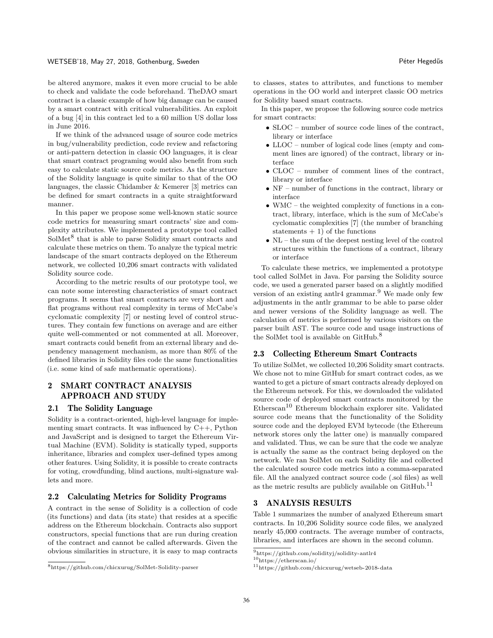be altered anymore, makes it even more crucial to be able to check and validate the code beforehand. TheDAO smart contract is a classic example of how big damage can be caused by a smart contract with critical vulnerabilities. An exploit of a bug [4] in this contract led to a 60 million US dollar loss in June 2016.

If we think of the advanced usage of source code metrics in bug/vulnerability prediction, code review and refactoring or anti-pattern detection in classic OO languages, it is clear that smart contract programing would also benefit from such easy to calculate static source code metrics. As the structure of the Solidity language is quite similar to that of the OO languages, the classic Chidamber & Kemerer [3] metrics can be defined for smart contracts in a quite straightforward manner.

In this paper we propose some well-known static source code metrics for measuring smart contracts' size and complexity attributes. We implemented a prototype tool called  $SolMet<sup>8</sup>$  that is able to parse Solidity smart contracts and calculate these metrics on them. To analyze the typical metric landscape of the smart contracts deployed on the Ethereum network, we collected 10,206 smart contracts with validated Solidity source code.

According to the metric results of our prototype tool, we can note some interesting characteristics of smart contract programs. It seems that smart contracts are very short and flat programs without real complexity in terms of McCabe's cyclomatic complexity [7] or nesting level of control structures. They contain few functions on average and are either quite well-commented or not commented at all. Moreover, smart contracts could benefit from an external library and dependency management mechanism, as more than 80% of the defined libraries in Solidity files code the same functionalities (i.e. some kind of safe mathematic operations).

# 2 SMART CONTRACT ANALYSIS APPROACH AND STUDY

#### 2.1 The Solidity Language

Solidity is a contract-oriented, high-level language for implementing smart contracts. It was influenced by C++, Python and JavaScript and is designed to target the Ethereum Virtual Machine (EVM). Solidity is statically typed, supports inheritance, libraries and complex user-defined types among other features. Using Solidity, it is possible to create contracts for voting, crowdfunding, blind auctions, multi-signature wallets and more.

#### 2.2 Calculating Metrics for Solidity Programs

A contract in the sense of Solidity is a collection of code (its functions) and data (its state) that resides at a specific address on the Ethereum blockchain. Contracts also support constructors, special functions that are run during creation of the contract and cannot be called afterwards. Given the obvious similarities in structure, it is easy to map contracts

to classes, states to attributes, and functions to member operations in the OO world and interpret classic OO metrics for Solidity based smart contracts.

In this paper, we propose the following source code metrics for smart contracts:

- SLOC number of source code lines of the contract, library or interface
- LLOC number of logical code lines (empty and comment lines are ignored) of the contract, library or interface
- CLOC number of comment lines of the contract, library or interface
- NF number of functions in the contract, library or interface
- WMC the weighted complexity of functions in a contract, library, interface, which is the sum of McCabe's cyclomatic complexities [7] (the number of branching statements  $+1$ ) of the functions
- NL the sum of the deepest nesting level of the control structures within the functions of a contract, library or interface

To calculate these metrics, we implemented a prototype tool called SolMet in Java. For parsing the Solidity source code, we used a generated parser based on a slightly modified version of an existing antlr4 grammar.<sup>9</sup> We made only few adjustments in the antlr grammar to be able to parse older and newer versions of the Solidity language as well. The calculation of metrics is performed by various visitors on the parser built AST. The source code and usage instructions of the SolMet tool is available on  $\text{GitHub.}^8$ 

#### 2.3 Collecting Ethereum Smart Contracts

To utilize SolMet, we collected 10,206 Solidity smart contracts. We chose not to mine GitHub for smart contract codes, as we wanted to get a picture of smart contracts already deployed on the Ethereum network. For this, we downloaded the validated source code of deployed smart contracts monitored by the  $\rm{Ethers} \rm{can}^{10}$ Ethereum blockchain explorer site. Validated source code means that the functionality of the Solidity source code and the deployed EVM bytecode (the Ethereum network stores only the latter one) is manually compared and validated. Thus, we can be sure that the code we analyze is actually the same as the contract being deployed on the network. We ran SolMet on each Solidity file and collected the calculated source code metrics into a comma-separated file. All the analyzed contract source code (.sol files) as well as the metric results are publicly available on  $\text{GitHub}.^{11}$ 

#### 3 ANALYSIS RESULTS

Table 1 summarizes the number of analyzed Ethereum smart contracts. In 10,206 Solidity source code files, we analyzed nearly 45,000 contracts. The average number of contracts, libraries, and interfaces are shown in the second column.

<sup>8</sup>https://github.com/chicxurug/SolMet-Solidity-parser

 $^9$ https://github.com/solidityj/solidity-antlr<br/>4 $^{10}\mbox{https://etherscan.io/}$ 

 $11$ https://github.com/chicxurug/wetseb-2018-data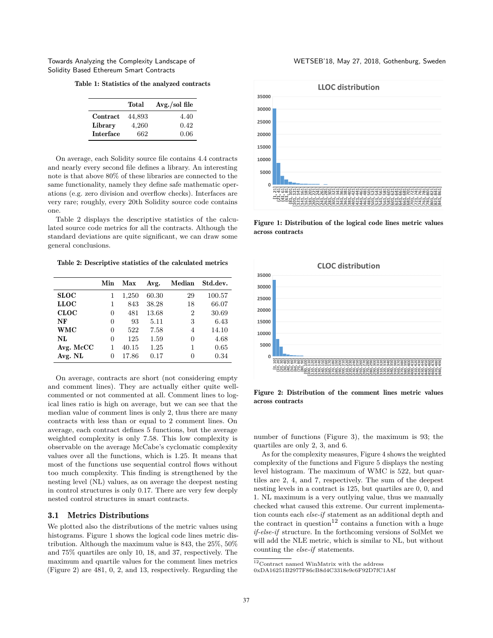Table 1: Statistics of the analyzed contracts

|                  | Total  | $Avg./sol$ file |
|------------------|--------|-----------------|
| Contract         | 44,893 | 4.40            |
| Library          | 4,260  | 0.42            |
| <b>Interface</b> | 662    | 0.06            |

On average, each Solidity source file contains 4.4 contracts and nearly every second file defines a library. An interesting note is that above 80% of these libraries are connected to the same functionality, namely they define safe mathematic operations (e.g. zero division and overflow checks). Interfaces are very rare; roughly, every 20th Solidity source code contains one.

Table 2 displays the descriptive statistics of the calculated source code metrics for all the contracts. Although the standard deviations are quite significant, we can draw some general conclusions.

Table 2: Descriptive statistics of the calculated metrics

|             | Min | Max   | Avg.  | Median         | Std.dev. |
|-------------|-----|-------|-------|----------------|----------|
| <b>SLOC</b> | 1   | 1,250 | 60.30 | 29             | 100.57   |
| <b>LLOC</b> | 1   | 843   | 38.28 | 18             | 66.07    |
| <b>CLOC</b> | 0   | 481   | 13.68 | $\overline{2}$ | 30.69    |
| NF          | 0   | 93    | 5.11  | 3              | 6.43     |
| <b>WMC</b>  | 0   | 522   | 7.58  | 4              | 14.10    |
| NL          | 0   | 125   | 1.59  | 0              | 4.68     |
| Avg. McCC   |     | 40.15 | 1.25  | 1              | 0.65     |
| Avg. NL     | 0   | 17.86 | 0.17  | 0              | 0.34     |

On average, contracts are short (not considering empty and comment lines). They are actually either quite wellcommented or not commented at all. Comment lines to logical lines ratio is high on average, but we can see that the median value of comment lines is only 2, thus there are many contracts with less than or equal to 2 comment lines. On average, each contract defines 5 functions, but the average weighted complexity is only 7.58. This low complexity is observable on the average McCabe's cyclomatic complexity values over all the functions, which is 1.25. It means that most of the functions use sequential control flows without too much complexity. This finding is strengthened by the nesting level (NL) values, as on average the deepest nesting in control structures is only 0.17. There are very few deeply nested control structures in smart contracts.

### 3.1 Metrics Distributions

We plotted also the distributions of the metric values using histograms. Figure 1 shows the logical code lines metric distribution. Although the maximum value is 843, the 25%, 50% and 75% quartiles are only 10, 18, and 37, respectively. The maximum and quartile values for the comment lines metrics (Figure 2) are 481, 0, 2, and 13, respectively. Regarding the



Figure 1: Distribution of the logical code lines metric values across contracts



Figure 2: Distribution of the comment lines metric values across contracts

number of functions (Figure 3), the maximum is 93; the quartiles are only 2, 3, and 6.

As for the complexity measures, Figure 4 shows the weighted complexity of the functions and Figure 5 displays the nesting level histogram. The maximum of WMC is 522, but quartiles are 2, 4, and 7, respectively. The sum of the deepest nesting levels in a contract is 125, but quartiles are 0, 0, and 1. NL maximum is a very outlying value, thus we manually checked what caused this extreme. Our current implementation counts each *else-if* statement as an additional depth and the contract in question<sup>12</sup> contains a function with a huge *if-else-if* structure. In the forthcoming versions of SolMet we will add the NLE metric, which is similar to NL, but without counting the *else-if* statements.

<sup>12</sup>Contract named WinMatrix with the address

<sup>0</sup>xDA16251B2977F86cB8d4C3318e9c6F92D7fC1A8f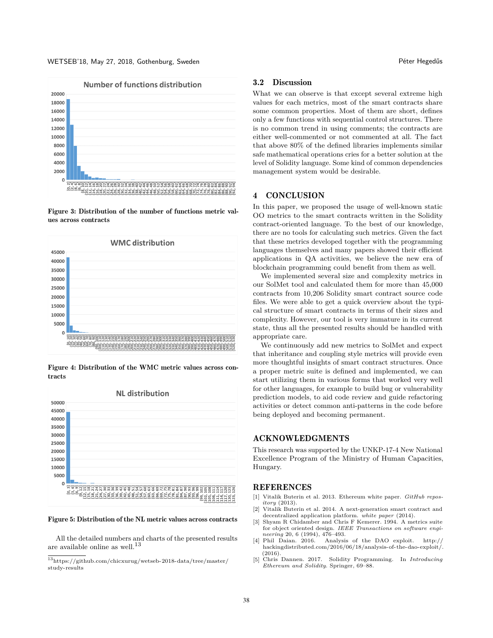#### WETSEB'18, May 27, 2018, Gothenburg, Sweden Péter Hegedűs



Figure 3: Distribution of the number of functions metric values across contracts



Figure 4: Distribution of the WMC metric values across contracts



#### Figure 5: Distribution of the NL metric values across contracts

All the detailed numbers and charts of the presented results are available online as well.<sup>13</sup>

#### 3.2 Discussion

What we can observe is that except several extreme high values for each metrics, most of the smart contracts share some common properties. Most of them are short, defines only a few functions with sequential control structures. There is no common trend in using comments; the contracts are either well-commented or not commented at all. The fact that above 80% of the defined libraries implements similar safe mathematical operations cries for a better solution at the level of Solidity language. Some kind of common dependencies management system would be desirable.

### 4 CONCLUSION

In this paper, we proposed the usage of well-known static OO metrics to the smart contracts written in the Solidity contract-oriented language. To the best of our knowledge, there are no tools for calculating such metrics. Given the fact that these metrics developed together with the programming languages themselves and many papers showed their efficient applications in QA activities, we believe the new era of blockchain programming could benefit from them as well.

We implemented several size and complexity metrics in our SolMet tool and calculated them for more than 45,000 contracts from 10,206 Solidity smart contract source code files. We were able to get a quick overview about the typical structure of smart contracts in terms of their sizes and complexity. However, our tool is very immature in its current state, thus all the presented results should be handled with appropriate care.

We continuously add new metrics to SolMet and expect that inheritance and coupling style metrics will provide even more thoughtful insights of smart contract structures. Once a proper metric suite is defined and implemented, we can start utilizing them in various forms that worked very well for other languages, for example to build bug or vulnerability prediction models, to aid code review and guide refactoring activities or detect common anti-patterns in the code before being deployed and becoming permanent.

# ACKNOWLEDGMENTS

This research was supported by the UNKP-17-4 New National Excellence Program of the Ministry of Human Capacities, Hungary.

### REFERENCES

- [1] Vitalik Buterin et al. 2013. Ethereum white paper. *GitHub repository* (2013).
- [2] Vitalik Buterin et al. 2014. A next-generation smart contract and decentralized application platform. *white paper* (2014).
- [3] Shyam R Chidamber and Chris F Kemerer. 1994. A metrics suite for object oriented design. *IEEE Transactions on software engineering* 20, 6 (1994), 476–493.<br>Phil Daian. 2016. Analysi
- [4] Phil Daian. 2016. Analysis of the DAO exploit. http:// hackingdistributed.com/2016/06/18/analysis-of-the-dao-exploit/ (2016).
- [5] Chris Dannen. 2017. Solidity Programming. In *Introducing Ethereum and Solidity*. Springer, 69–88.

 $^{13}{\rm https://github.com/chicxurug/wetseb-2018-data/tree/master/}$ study-results